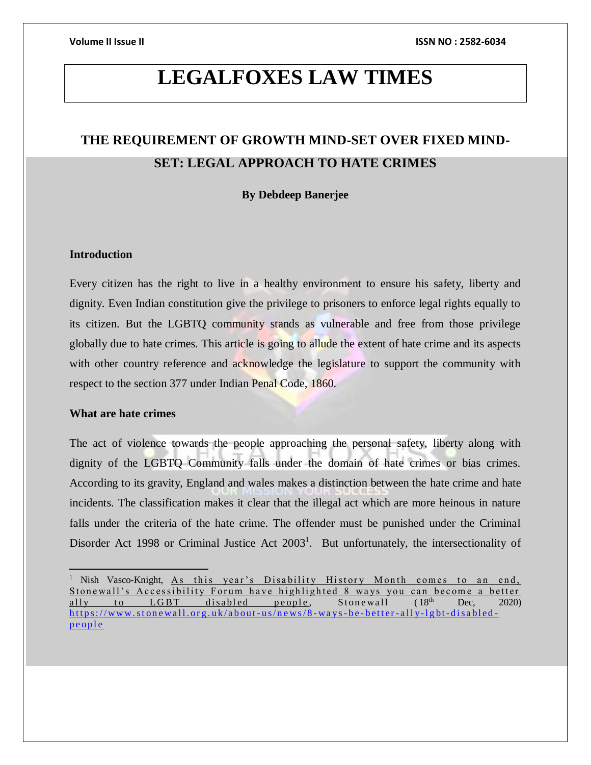## **LEGALFOXES LAW TIMES**

## **THE REQUIREMENT OF GROWTH MIND-SET OVER FIXED MIND-SET: LEGAL APPROACH TO HATE CRIMES**

### **By Debdeep Banerjee**

### **Introduction**

Every citizen has the right to live in a healthy environment to ensure his safety, liberty and dignity. Even Indian constitution give the privilege to prisoners to enforce legal rights equally to its citizen. But the LGBTQ community stands as vulnerable and free from those privilege globally due to hate crimes. This article is going to allude the extent of hate crime and its aspects with other country reference and acknowledge the legislature to support the community with respect to the section 377 under Indian Penal Code, 1860.

### **What are hate crimes**

The act of violence towards the people approaching the personal safety, liberty along with dignity of the LGBTQ Community falls under the domain of hate crimes or bias crimes. According to its gravity, England and wales makes a distinction between the hate crime and hate incidents. The classification makes it clear that the illegal act which are more heinous in nature falls under the criteria of the hate crime. The offender must be punished under the Criminal Disorder Act 1998 or Criminal Justice Act  $2003<sup>1</sup>$ . But unfortunately, the intersectionality of

<sup>&</sup>lt;sup>1</sup> Nish Vasco-Knight, As this year's Disability History Month comes to an end, Stonewall's Accessibility Forum have highlighted 8 ways you can become a better ally to LGBT disabled people, Stonewall  $(18<sup>th</sup>$  Dec, 2020) https://www.stonewall.org.uk/about-us/news/8-ways-be-better-ally-lgbt-disabledpe op le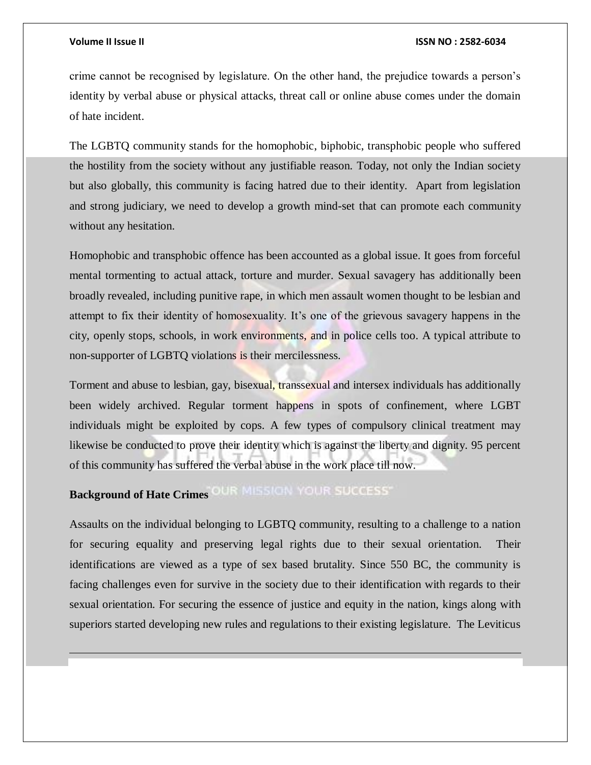#### **Volume II Issue II ISSN NO : 2582-6034**

crime cannot be recognised by legislature. On the other hand, the prejudice towards a person's identity by verbal abuse or physical attacks, threat call or online abuse comes under the domain of hate incident.

The LGBTQ community stands for the homophobic, biphobic, transphobic people who suffered the hostility from the society without any justifiable reason. Today, not only the Indian society but also globally, this community is facing hatred due to their identity. Apart from legislation and strong judiciary, we need to develop a growth mind-set that can promote each community without any hesitation.

Homophobic and transphobic offence has been accounted as a global issue. It goes from forceful mental tormenting to actual attack, torture and murder. Sexual savagery has additionally been broadly revealed, including punitive rape, in which men assault women thought to be lesbian and attempt to fix their identity of homosexuality. It's one of the grievous savagery happens in the city, openly stops, schools, in work environments, and in police cells too. A typical attribute to non-supporter of LGBTQ violations is their mercilessness.

Torment and abuse to lesbian, gay, bisexual, transsexual and intersex individuals has additionally been widely archived. Regular torment happens in spots of confinement, where LGBT individuals might be exploited by cops. A few types of compulsory clinical treatment may likewise be conducted to prove their identity which is against the liberty and dignity. 95 percent of this community has suffered the verbal abuse in the work place till now.

# **Background of Hate Crimes OUR MISSION YOUR SUCCESS**

Assaults on the individual belonging to LGBTQ community, resulting to a challenge to a nation for securing equality and preserving legal rights due to their sexual orientation. Their identifications are viewed as a type of sex based brutality. Since 550 BC, the community is facing challenges even for survive in the society due to their identification with regards to their sexual orientation. For securing the essence of justice and equity in the nation, kings along with superiors started developing new rules and regulations to their existing legislature. The Leviticus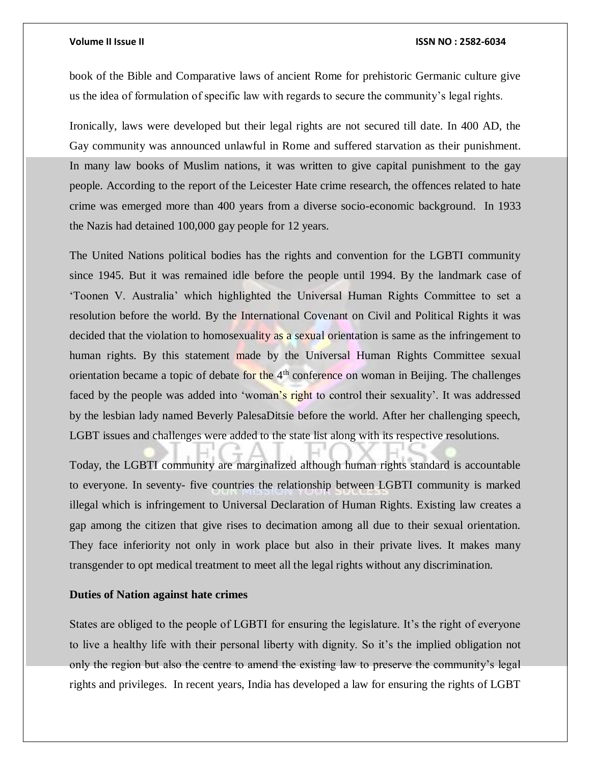#### **Volume II Issue II ISSN NO : 2582-6034**

book of the Bible and Comparative laws of ancient Rome for prehistoric Germanic culture give us the idea of formulation of specific law with regards to secure the community's legal rights.

Ironically, laws were developed but their legal rights are not secured till date. In 400 AD, the Gay community was announced unlawful in Rome and suffered starvation as their punishment. In many law books of Muslim nations, it was written to give capital punishment to the gay people. According to the report of the Leicester Hate crime research, the offences related to hate crime was emerged more than 400 years from a diverse socio-economic background. In 1933 the Nazis had detained 100,000 gay people for 12 years.

The United Nations political bodies has the rights and convention for the LGBTI community since 1945. But it was remained idle before the people until 1994. By the landmark case of 'Toonen V. Australia' which highlighted the Universal Human Rights Committee to set a resolution before the world. By the International Covenant on Civil and Political Rights it was decided that the violation to homosexuality as a sexual orientation is same as the infringement to human rights. By this statement made by the Universal Human Rights Committee sexual orientation became a topic of debate for the  $4<sup>th</sup>$  conference on woman in Beijing. The challenges faced by the people was added into 'woman's right to control their sexuality'. It was addressed by the lesbian lady named Beverly PalesaDitsie before the world. After her challenging speech, LGBT issues and challenges were added to the state list along with its respective resolutions.

Today, the LGBTI community are marginalized although human rights standard is accountable to everyone. In seventy- five countries the relationship between LGBTI community is marked illegal which is infringement to Universal Declaration of Human Rights. Existing law creates a gap among the citizen that give rises to decimation among all due to their sexual orientation. They face inferiority not only in work place but also in their private lives. It makes many transgender to opt medical treatment to meet all the legal rights without any discrimination.

### **Duties of Nation against hate crimes**

States are obliged to the people of LGBTI for ensuring the legislature. It's the right of everyone to live a healthy life with their personal liberty with dignity. So it's the implied obligation not only the region but also the centre to amend the existing law to preserve the community's legal rights and privileges. In recent years, India has developed a law for ensuring the rights of LGBT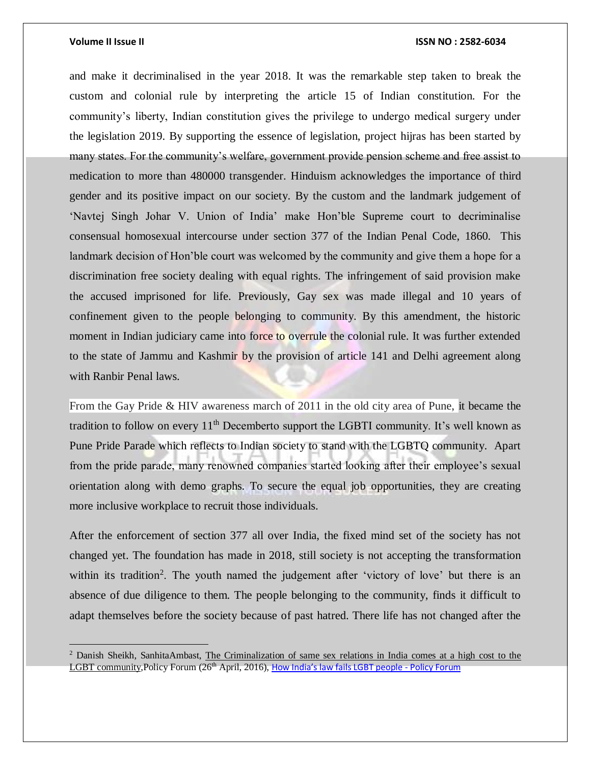$\overline{a}$ 

#### **Volume II Issue II ISSN NO : 2582-6034**

and make it decriminalised in the year 2018. It was the remarkable step taken to break the custom and colonial rule by interpreting the article 15 of Indian constitution. For the community's liberty, Indian constitution gives the privilege to undergo medical surgery under the legislation 2019. By supporting the essence of legislation, project hijras has been started by many states. For the community's welfare, government provide pension scheme and free assist to medication to more than 480000 transgender. Hinduism acknowledges the importance of third gender and its positive impact on our society. By the custom and the landmark judgement of 'Navtej Singh Johar V. Union of India' make Hon'ble Supreme court to decriminalise consensual homosexual intercourse under section 377 of the Indian Penal Code, 1860. This landmark decision of Hon'ble court was welcomed by the community and give them a hope for a discrimination free society dealing with equal rights. The infringement of said provision make the accused imprisoned for life. Previously, Gay sex was made illegal and 10 years of confinement given to the people belonging to community. By this amendment, the historic moment in Indian judiciary came into force to overrule the colonial rule. It was further extended to the state of Jammu and Kashmir by the provision of article 141 and Delhi agreement along with Ranbir Penal laws.

From the Gay Pride & HIV awareness march of 2011 in the old city area of Pune, it became the tradition to follow on every  $11<sup>th</sup>$  Decemberto support the LGBTI community. It's well known as Pune Pride Parade which reflects to Indian society to stand with the LGBTQ community. Apart from the pride parade, many renowned companies started looking after their employee's sexual orientation along with demo graphs. To secure the equal job opportunities, they are creating more inclusive workplace to recruit those individuals.

After the enforcement of section 377 all over India, the fixed mind set of the society has not changed yet. The foundation has made in 2018, still society is not accepting the transformation within its tradition<sup>2</sup>. The youth named the judgement after 'victory of love' but there is an absence of due diligence to them. The people belonging to the community, finds it difficult to adapt themselves before the society because of past hatred. There life has not changed after the

<sup>2</sup> Danish Sheikh, SanhitaAmbast, The Criminalization of same sex relations in India comes at a high cost to the LGBT community, Policy Forum (26<sup>th</sup> April, 2016), [How India's law fails LGBT people](https://www.policyforum.net/indias-law-fails-lgbt-people/) - Policy Forum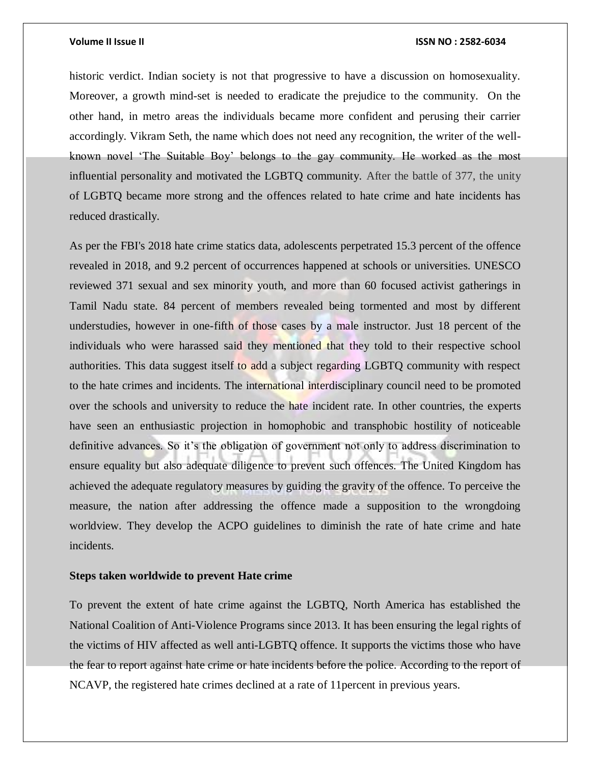#### **Volume II Issue II ISSN NO : 2582-6034**

historic verdict. Indian society is not that progressive to have a discussion on homosexuality. Moreover, a growth mind-set is needed to eradicate the prejudice to the community. On the other hand, in metro areas the individuals became more confident and perusing their carrier accordingly. Vikram Seth, the name which does not need any recognition, the writer of the wellknown novel 'The Suitable Boy' belongs to the gay community. He worked as the most influential personality and motivated the LGBTQ community. After the battle of 377, the unity of LGBTQ became more strong and the offences related to hate crime and hate incidents has reduced drastically.

As per the FBI's 2018 hate crime statics data, adolescents perpetrated 15.3 percent of the offence revealed in 2018, and 9.2 percent of occurrences happened at schools or universities. UNESCO reviewed 371 sexual and sex minority youth, and more than 60 focused activist gatherings in Tamil Nadu state. 84 percent of members revealed being tormented and most by different understudies, however in one-fifth of those cases by a male instructor. Just 18 percent of the individuals who were harassed said they mentioned that they told to their respective school authorities. This data suggest itself to add a subject regarding LGBTQ community with respect to the hate crimes and incidents. The international interdisciplinary council need to be promoted over the schools and university to reduce the hate incident rate. In other countries, the experts have seen an enthusiastic projection in homophobic and transphobic hostility of noticeable definitive advances. So it's the obligation of government not only to address discrimination to ensure equality but also adequate diligence to prevent such offences. The United Kingdom has achieved the adequate regulatory measures by guiding the gravity of the offence. To perceive the measure, the nation after addressing the offence made a supposition to the wrongdoing worldview. They develop the ACPO guidelines to diminish the rate of hate crime and hate incidents.

#### **Steps taken worldwide to prevent Hate crime**

To prevent the extent of hate crime against the LGBTQ, North America has established the National Coalition of Anti-Violence Programs since 2013. It has been ensuring the legal rights of the victims of HIV affected as well anti-LGBTQ offence. It supports the victims those who have the fear to report against hate crime or hate incidents before the police. According to the report of NCAVP, the registered hate crimes declined at a rate of 11percent in previous years.